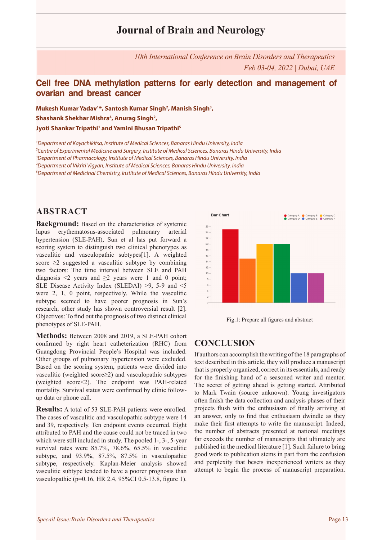# **Journal of Brain and Neurology**

*10th International Conference on Brain Disorders and Therapeutics Feb 03-04, 2022 | Dubai, UAE*

### **Cell free DNA methylation patterns for early detection and management of ovarian and breast cancer**

**Mukesh Kumar Yadav1 \*, Santosh Kumar Singh2 , Manish Singh3 ,**  Shashank Shekhar Mishra<sup>4</sup>, Anurag Singh<sup>2</sup>, **Jyoti Shankar Tripathi1 and Yamini Bhusan Tripathi5**

 *Department of Kayachikitsa, Institute of Medical Sciences, Banaras Hindu University, India Centre of Experimental Medicine and Surgery, Institute of Medical Sciences, Banaras Hindu University, India Department of Pharmacology, Institute of Medical Sciences, Banaras Hindu University, India Department of Vikriti Vigyan, Institute of Medical Sciences, Banaras Hindu University, India Department of Medicinal Chemistry, Institute of Medical Sciences, Banaras Hindu University, India*

### **ABSTRACT**

**Background:** Based on the characteristics of systemic lupus erythematosus-associated pulmonary arterial hypertension (SLE-PAH), Sun et al has put forward a scoring system to distinguish two clinical phenotypes as vasculitic and vasculopathic subtypes[1]. A weighted score  $\geq$ 2 suggested a vasculitic subtype by combining two factors: The time interval between SLE and PAH diagnosis  $\leq 2$  years and  $\geq 2$  years were 1 and 0 point; SLE Disease Activity Index (SLEDAI) >9, 5-9 and <5 were 2, 1, 0 point, respectively. While the vasculitic subtype seemed to have poorer prognosis in Sun's research, other study has shown controversial result [2]. Objectives: To find out the prognosis of two distinct clinical phenotypes of SLE-PAH.

**Methods:** Between 2008 and 2019, a SLE-PAH cohort confirmed by right heart catheterization (RHC) from Guangdong Provincial People's Hospital was included. Other groups of pulmonary hypertension were excluded. Based on the scoring system, patients were divided into vasculitic (weighted score≥2) and vasculopathic subtypes (weighted score<2). The endpoint was PAH-related mortality. Survival status were confirmed by clinic followup data or phone call.

**Results:** A total of 53 SLE-PAH patients were enrolled. The cases of vasculitic and vasculopathic subtype were 14 and 39, respectively. Ten endpoint events occurred. Eight attributed to PAH and the cause could not be traced in two which were still included in study. The pooled 1-, 3-, 5-year survival rates were 85.7%, 78.6%, 65.5% in vasculitic subtype, and 93.9%, 87.5%, 87.5% in vasculopathic subtype, respectively. Kaplan-Meier analysis showed vasculitic subtype tended to have a poorer prognosis than vasculopathic (p=0.16, HR 2.4, 95%CI 0.5-13.8, figure 1).





### **CONCLUSION**

If authors can accomplish the writing of the 18 paragraphs of text described in this article, they will produce a manuscript that is properly organized, correct in its essentials, and ready for the finishing hand of a seasoned writer and mentor. The secret of getting ahead is getting started. Attributed to Mark Twain (source unknown). Young investigators often finish the data collection and analysis phases of their projects flush with the enthusiasm of finally arriving at an answer, only to find that enthusiasm dwindle as they make their first attempts to write the manuscript. Indeed, the number of abstracts presented at national meetings far exceeds the number of manuscripts that ultimately are published in the medical literature [1]. Such failure to bring good work to publication stems in part from the confusion and perplexity that besets inexperienced writers as they attempt to begin the process of manuscript preparation.